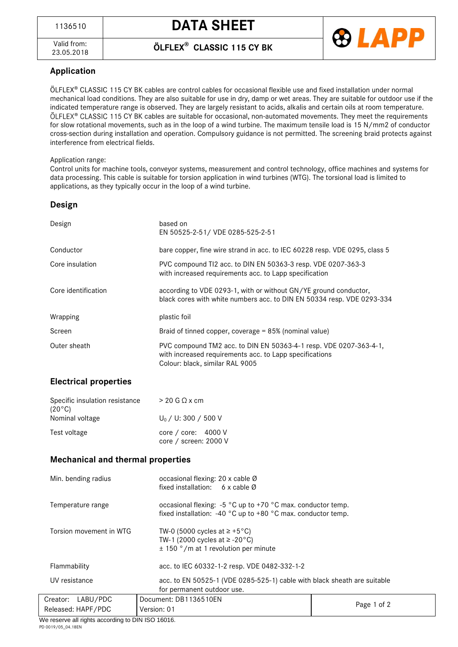<sup>1136510</sup> **DATA SHEET**

Valid from:<br>23.05.2018

23.05.2018 **ÖLFLEX® CLASSIC 115 CY BK**



## **Application**

ÖLFLEX<sup>®</sup> CLASSIC 115 CY BK cables are control cables for occasional flexible use and fixed installation under normal mechanical load conditions. They are also suitable for use in dry, damp or wet areas. They are suitable for outdoor use if the indicated temperature range is observed. They are largely resistant to acids, alkalis and certain oils at room temperature.  $OLEX^{\circ}$  CLASSIC 115 CY BK cables are suitable for occasional, non-automated movements. They meet the requirements for slow rotational movements, such as in the loop of a wind turbine. The maximum tensile load is 15 N/mm2 of conductor cross-section during installation and operation. Compulsory guidance is not permitted. The screening braid protects against interference from electrical fields.

#### Application range:

Control units for machine tools, conveyor systems, measurement and control technology, office machines and systems for data processing. This cable is suitable for torsion application in wind turbines (WTG). The torsional load is limited to applications, as they typically occur in the loop of a wind turbine.

### **Design**

| Design              | based on<br>EN 50525-2-51/ VDE 0285-525-2-51                                                                                                                    |  |
|---------------------|-----------------------------------------------------------------------------------------------------------------------------------------------------------------|--|
| Conductor           | bare copper, fine wire strand in acc. to IEC 60228 resp. VDE 0295, class 5                                                                                      |  |
| Core insulation     | PVC compound TI2 acc. to DIN EN 50363-3 resp. VDE 0207-363-3<br>with increased requirements acc. to Lapp specification                                          |  |
| Core identification | according to VDE 0293-1, with or without GN/YE ground conductor,<br>black cores with white numbers acc. to DIN EN 50334 resp. VDE 0293-334                      |  |
| Wrapping            | plastic foil                                                                                                                                                    |  |
| Screen              | Braid of tinned copper, coverage = 85% (nominal value)                                                                                                          |  |
| Outer sheath        | PVC compound TM2 acc. to DIN EN 50363-4-1 resp. VDE 0207-363-4-1,<br>with increased requirements acc. to Lapp specifications<br>Colour: black, similar RAL 9005 |  |

## **Electrical properties**

| Specific insulation resistance<br>$(20^{\circ}C)$ | $> 20$ G $\Omega$ x cm                                 |
|---------------------------------------------------|--------------------------------------------------------|
| Nominal voltage                                   | $U_0 / U$ : 300 / 500 V                                |
| Test voltage                                      | core / core: $4000 \text{ V}$<br>core / screen: 2000 V |

#### **Mechanical and thermal properties**

| Min. bending radius     | occasional flexing: 20 x cable Ø<br>fixed installation: 6 x cable $\varnothing$                                                     |             |  |
|-------------------------|-------------------------------------------------------------------------------------------------------------------------------------|-------------|--|
| Temperature range       | occasional flexing: $-5$ °C up to $+70$ °C max. conductor temp.<br>fixed installation: $-40$ °C up to $+80$ °C max. conductor temp. |             |  |
| Torsion movement in WTG | TW-0 (5000 cycles at $\ge$ +5°C)<br>TW-1 (2000 cycles at $\ge$ -20°C)<br>$\pm$ 150 $\degree$ /m at 1 revolution per minute          |             |  |
| Flammability            | acc. to IEC 60332-1-2 resp. VDE 0482-332-1-2                                                                                        |             |  |
| UV resistance           | acc. to EN 50525-1 (VDE 0285-525-1) cable with black sheath are suitable<br>for permanent outdoor use.                              |             |  |
| Creator: LABU/PDC       | Document: DB1136510EN                                                                                                               |             |  |
| Released: HAPF/PDC      | Version: 01                                                                                                                         | Page 1 of 2 |  |

We reserve all rights according to DIN ISO 16016. PD 0019/05\_04.18EN